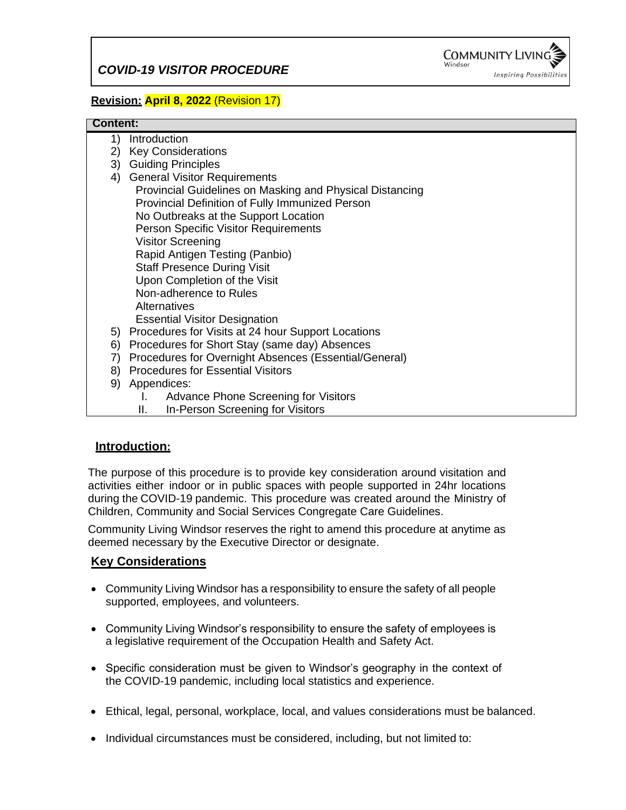

## **Revision: April 8, 2022** (Revision 17)

#### **Content:**

- 1) Introduction 2) Key Considerations 3) Guiding Principles 4) General Visitor Requirements Provincial Guidelines on Masking and Physical Distancing Provincial Definition of Fully Immunized Person No Outbreaks at the Support Location Person Specific Visitor Requirements Visitor Screening Rapid Antigen Testing (Panbio) Staff Presence During Visit Upon Completion of the Visit Non-adherence to Rules **Alternatives**  Essential Visitor Designation 5) Procedures for Visits at 24 hour Support Locations 6) Procedures for Short Stay (same day) Absences 7) Procedures for Overnight Absences (Essential/General) 8) Procedures for Essential Visitors 9) Appendices: I. Advance Phone Screening for Visitors
	- II. In-Person Screening for Visitors

## **Introduction:**

The purpose of this procedure is to provide key consideration around visitation and activities either indoor or in public spaces with people supported in 24hr locations during the COVID-19 pandemic. This procedure was created around the Ministry of Children, Community and Social Services Congregate Care Guidelines.

Community Living Windsor reserves the right to amend this procedure at anytime as deemed necessary by the Executive Director or designate.

## **Key Considerations**

- Community Living Windsor has a responsibility to ensure the safety of all people supported, employees, and volunteers.
- Community Living Windsor's responsibility to ensure the safety of employees is a legislative requirement of the Occupation Health and Safety Act.
- Specific consideration must be given to Windsor's geography in the context of the COVID-19 pandemic, including local statistics and experience.
- Ethical, legal, personal, workplace, local, and values considerations must be balanced.
- Individual circumstances must be considered, including, but not limited to: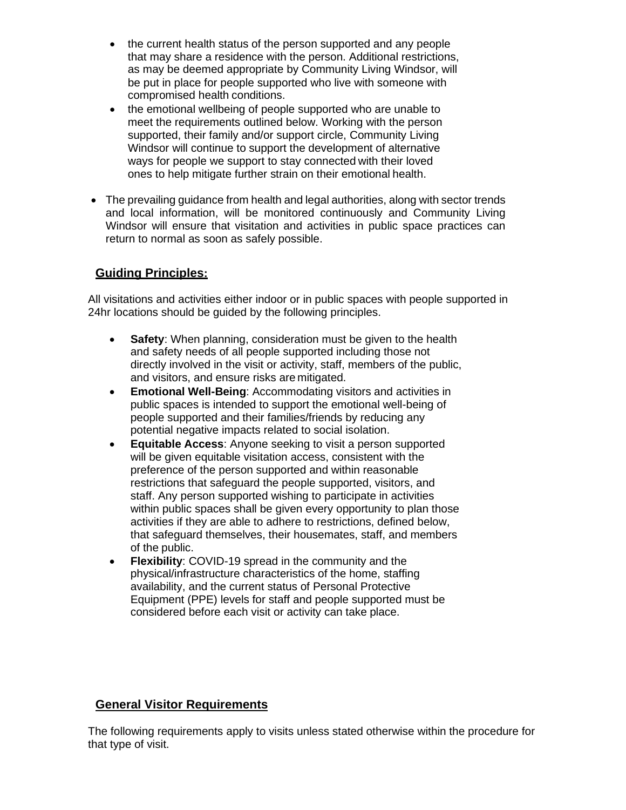- the current health status of the person supported and any people that may share a residence with the person. Additional restrictions, as may be deemed appropriate by Community Living Windsor, will be put in place for people supported who live with someone with compromised health conditions.
- the emotional wellbeing of people supported who are unable to meet the requirements outlined below. Working with the person supported, their family and/or support circle, Community Living Windsor will continue to support the development of alternative ways for people we support to stay connected with their loved ones to help mitigate further strain on their emotional health.
- The prevailing guidance from health and legal authorities, along with sector trends and local information, will be monitored continuously and Community Living Windsor will ensure that visitation and activities in public space practices can return to normal as soon as safely possible.

## **Guiding Principles:**

All visitations and activities either indoor or in public spaces with people supported in 24hr locations should be guided by the following principles.

- **Safety**: When planning, consideration must be given to the health and safety needs of all people supported including those not directly involved in the visit or activity, staff, members of the public, and visitors, and ensure risks are mitigated.
- **Emotional Well-Being**: Accommodating visitors and activities in public spaces is intended to support the emotional well-being of people supported and their families/friends by reducing any potential negative impacts related to social isolation.
- **Equitable Access:** Anyone seeking to visit a person supported will be given equitable visitation access, consistent with the preference of the person supported and within reasonable restrictions that safeguard the people supported, visitors, and staff. Any person supported wishing to participate in activities within public spaces shall be given every opportunity to plan those activities if they are able to adhere to restrictions, defined below, that safeguard themselves, their housemates, staff, and members of the public.
- **Flexibility:** COVID-19 spread in the community and the physical/infrastructure characteristics of the home, staffing availability, and the current status of Personal Protective Equipment (PPE) levels for staff and people supported must be considered before each visit or activity can take place.

## **General Visitor Requirements**

The following requirements apply to visits unless stated otherwise within the procedure for that type of visit.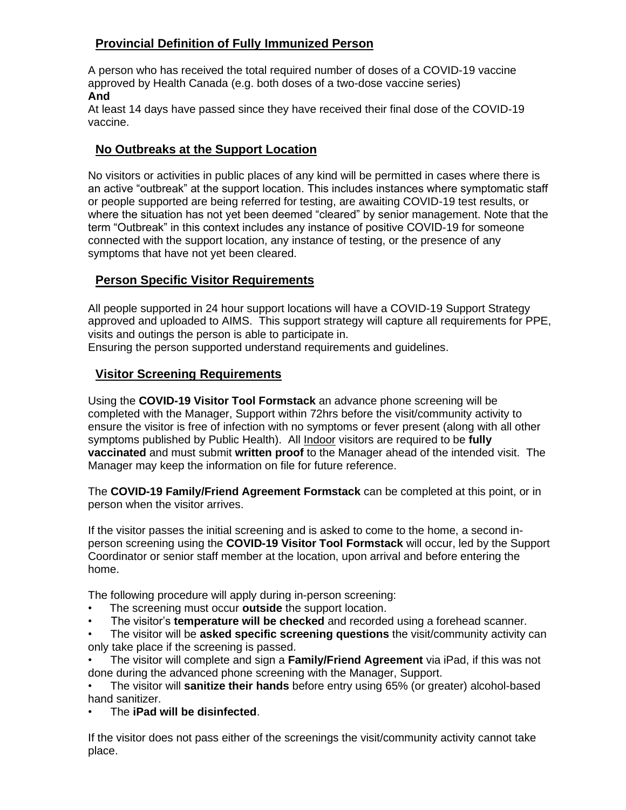## **Provincial Definition of Fully Immunized Person**

A person who has received the total required number of doses of a COVID-19 vaccine approved by Health Canada (e.g. both doses of a two-dose vaccine series) **And**

At least 14 days have passed since they have received their final dose of the COVID-19 vaccine.

## **No Outbreaks at the Support Location**

No visitors or activities in public places of any kind will be permitted in cases where there is an active "outbreak" at the support location. This includes instances where symptomatic staff or people supported are being referred for testing, are awaiting COVID-19 test results, or where the situation has not yet been deemed "cleared" by senior management. Note that the term "Outbreak" in this context includes any instance of positive COVID-19 for someone connected with the support location, any instance of testing, or the presence of any symptoms that have not yet been cleared.

## **Person Specific Visitor Requirements**

All people supported in 24 hour support locations will have a COVID-19 Support Strategy approved and uploaded to AIMS. This support strategy will capture all requirements for PPE, visits and outings the person is able to participate in.

Ensuring the person supported understand requirements and guidelines.

## **Visitor Screening Requirements**

Using the **COVID-19 Visitor Tool Formstack** an advance phone screening will be completed with the Manager, Support within 72hrs before the visit/community activity to ensure the visitor is free of infection with no symptoms or fever present (along with all other symptoms published by Public Health). All Indoor visitors are required to be **fully vaccinated** and must submit **written proof** to the Manager ahead of the intended visit. The Manager may keep the information on file for future reference.

The **COVID-19 Family/Friend Agreement Formstack** can be completed at this point, or in person when the visitor arrives.

If the visitor passes the initial screening and is asked to come to the home, a second inperson screening using the **COVID-19 Visitor Tool Formstack** will occur, led by the Support Coordinator or senior staff member at the location, upon arrival and before entering the home.

The following procedure will apply during in-person screening:

- The screening must occur **outside** the support location.
- The visitor's **temperature will be checked** and recorded using a forehead scanner.
- The visitor will be **asked specific screening questions** the visit/community activity can only take place if the screening is passed.

• The visitor will complete and sign a **Family/Friend Agreement** via iPad, if this was not done during the advanced phone screening with the Manager, Support.

• The visitor will **sanitize their hands** before entry using 65% (or greater) alcohol-based hand sanitizer.

• The **iPad will be disinfected**.

If the visitor does not pass either of the screenings the visit/community activity cannot take place.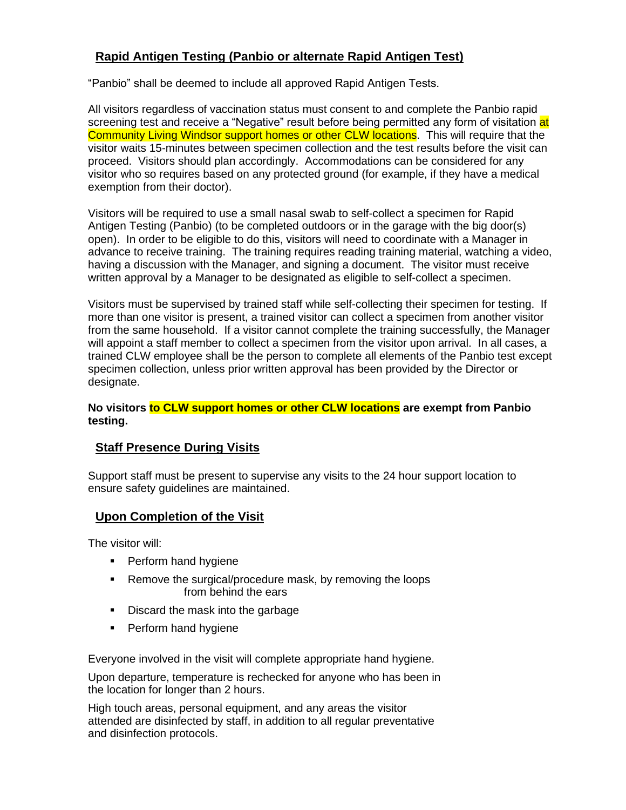## **Rapid Antigen Testing (Panbio or alternate Rapid Antigen Test)**

"Panbio" shall be deemed to include all approved Rapid Antigen Tests.

All visitors regardless of vaccination status must consent to and complete the Panbio rapid screening test and receive a "Negative" result before being permitted any form of visitation at Community Living Windsor support homes or other CLW locations. This will require that the visitor waits 15-minutes between specimen collection and the test results before the visit can proceed. Visitors should plan accordingly. Accommodations can be considered for any visitor who so requires based on any protected ground (for example, if they have a medical exemption from their doctor).

Visitors will be required to use a small nasal swab to self-collect a specimen for Rapid Antigen Testing (Panbio) (to be completed outdoors or in the garage with the big door(s) open). In order to be eligible to do this, visitors will need to coordinate with a Manager in advance to receive training. The training requires reading training material, watching a video, having a discussion with the Manager, and signing a document. The visitor must receive written approval by a Manager to be designated as eligible to self-collect a specimen.

Visitors must be supervised by trained staff while self-collecting their specimen for testing. If more than one visitor is present, a trained visitor can collect a specimen from another visitor from the same household. If a visitor cannot complete the training successfully, the Manager will appoint a staff member to collect a specimen from the visitor upon arrival. In all cases, a trained CLW employee shall be the person to complete all elements of the Panbio test except specimen collection, unless prior written approval has been provided by the Director or designate.

#### **No visitors to CLW support homes or other CLW locations are exempt from Panbio testing.**

## **Staff Presence During Visits**

Support staff must be present to supervise any visits to the 24 hour support location to ensure safety guidelines are maintained.

## **Upon Completion of the Visit**

The visitor will:

- **•** Perform hand hygiene
- Remove the surgical/procedure mask, by removing the loops from behind the ears
- Discard the mask into the garbage
- Perform hand hygiene

Everyone involved in the visit will complete appropriate hand hygiene.

Upon departure, temperature is rechecked for anyone who has been in the location for longer than 2 hours.

High touch areas, personal equipment, and any areas the visitor attended are disinfected by staff, in addition to all regular preventative and disinfection protocols.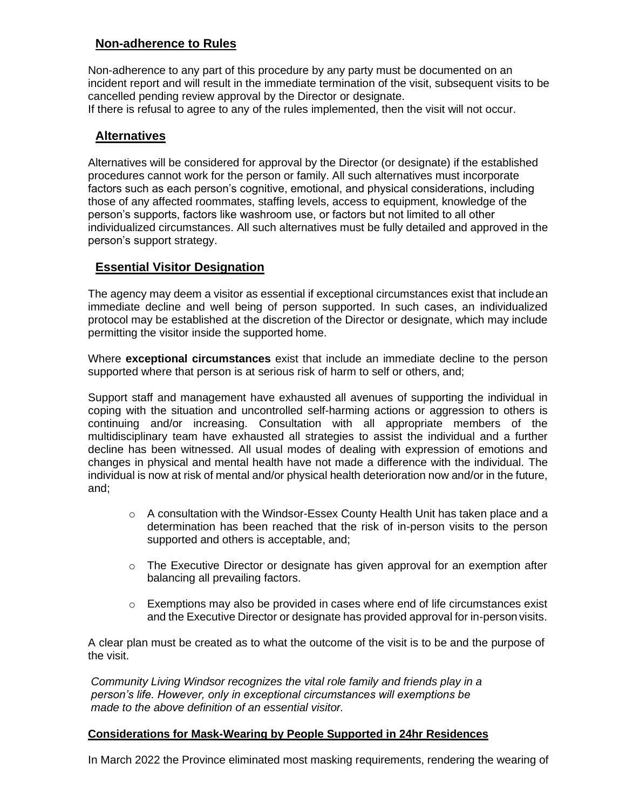## **Non-adherence to Rules**

Non-adherence to any part of this procedure by any party must be documented on an incident report and will result in the immediate termination of the visit, subsequent visits to be cancelled pending review approval by the Director or designate.

If there is refusal to agree to any of the rules implemented, then the visit will not occur.

## **Alternatives**

Alternatives will be considered for approval by the Director (or designate) if the established procedures cannot work for the person or family. All such alternatives must incorporate factors such as each person's cognitive, emotional, and physical considerations, including those of any affected roommates, staffing levels, access to equipment, knowledge of the person's supports, factors like washroom use, or factors but not limited to all other individualized circumstances. All such alternatives must be fully detailed and approved in the person's support strategy.

## **Essential Visitor Designation**

The agency may deem a visitor as essential if exceptional circumstances exist that includean immediate decline and well being of person supported. In such cases, an individualized protocol may be established at the discretion of the Director or designate, which may include permitting the visitor inside the supported home.

Where **exceptional circumstances** exist that include an immediate decline to the person supported where that person is at serious risk of harm to self or others, and;

Support staff and management have exhausted all avenues of supporting the individual in coping with the situation and uncontrolled self-harming actions or aggression to others is continuing and/or increasing. Consultation with all appropriate members of the multidisciplinary team have exhausted all strategies to assist the individual and a further decline has been witnessed. All usual modes of dealing with expression of emotions and changes in physical and mental health have not made a difference with the individual. The individual is now at risk of mental and/or physical health deterioration now and/or in the future, and;

- $\circ$  A consultation with the Windsor-Essex County Health Unit has taken place and a determination has been reached that the risk of in-person visits to the person supported and others is acceptable, and;
- $\circ$  The Executive Director or designate has given approval for an exemption after balancing all prevailing factors.
- $\circ$  Exemptions may also be provided in cases where end of life circumstances exist and the Executive Director or designate has provided approval for in-person visits.

A clear plan must be created as to what the outcome of the visit is to be and the purpose of the visit.

*Community Living Windsor recognizes the vital role family and friends play in a person's life. However, only in exceptional circumstances will exemptions be made to the above definition of an essential visitor.*

#### **Considerations for Mask-Wearing by People Supported in 24hr Residences**

In March 2022 the Province eliminated most masking requirements, rendering the wearing of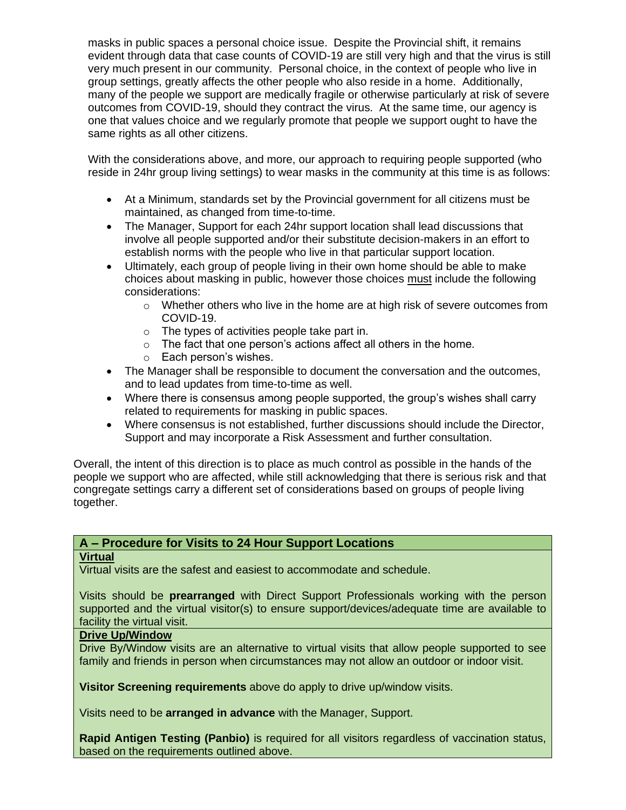masks in public spaces a personal choice issue. Despite the Provincial shift, it remains evident through data that case counts of COVID-19 are still very high and that the virus is still very much present in our community. Personal choice, in the context of people who live in group settings, greatly affects the other people who also reside in a home. Additionally, many of the people we support are medically fragile or otherwise particularly at risk of severe outcomes from COVID-19, should they contract the virus. At the same time, our agency is one that values choice and we regularly promote that people we support ought to have the same rights as all other citizens.

With the considerations above, and more, our approach to requiring people supported (who reside in 24hr group living settings) to wear masks in the community at this time is as follows:

- At a Minimum, standards set by the Provincial government for all citizens must be maintained, as changed from time-to-time.
- The Manager, Support for each 24hr support location shall lead discussions that involve all people supported and/or their substitute decision-makers in an effort to establish norms with the people who live in that particular support location.
- Ultimately, each group of people living in their own home should be able to make choices about masking in public, however those choices must include the following considerations:
	- $\circ$  Whether others who live in the home are at high risk of severe outcomes from COVID-19.
	- o The types of activities people take part in.
	- $\circ$  The fact that one person's actions affect all others in the home.
	- o Each person's wishes.
- The Manager shall be responsible to document the conversation and the outcomes, and to lead updates from time-to-time as well.
- Where there is consensus among people supported, the group's wishes shall carry related to requirements for masking in public spaces.
- Where consensus is not established, further discussions should include the Director, Support and may incorporate a Risk Assessment and further consultation.

Overall, the intent of this direction is to place as much control as possible in the hands of the people we support who are affected, while still acknowledging that there is serious risk and that congregate settings carry a different set of considerations based on groups of people living together.

## **A – Procedure for Visits to 24 Hour Support Locations**

## **Virtual**

Virtual visits are the safest and easiest to accommodate and schedule.

Visits should be **prearranged** with Direct Support Professionals working with the person supported and the virtual visitor(s) to ensure support/devices/adequate time are available to facility the virtual visit.

## **Drive Up/Window**

Drive By/Window visits are an alternative to virtual visits that allow people supported to see family and friends in person when circumstances may not allow an outdoor or indoor visit.

**Visitor Screening requirements** above do apply to drive up/window visits.

Visits need to be **arranged in advance** with the Manager, Support.

**Rapid Antigen Testing (Panbio)** is required for all visitors regardless of vaccination status, based on the requirements outlined above.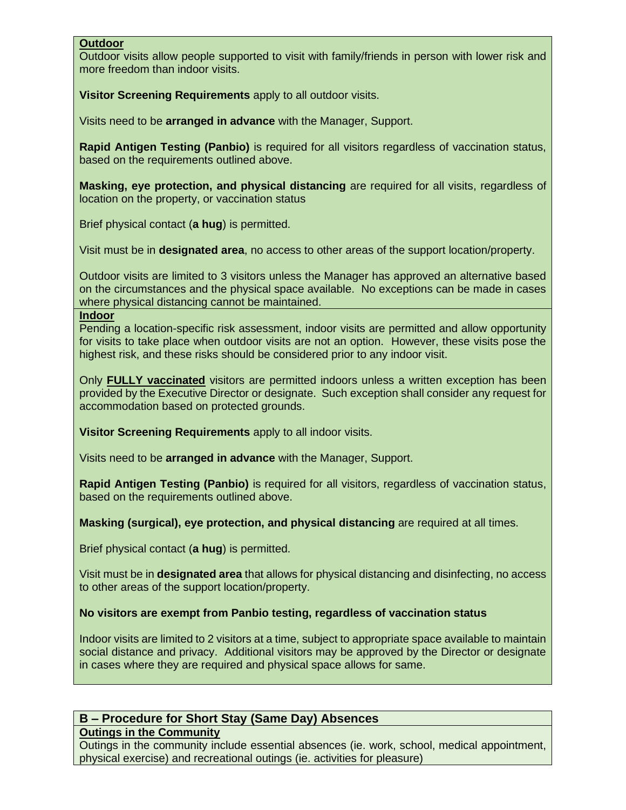## **Outdoor**

Outdoor visits allow people supported to visit with family/friends in person with lower risk and more freedom than indoor visits.

**Visitor Screening Requirements** apply to all outdoor visits.

Visits need to be **arranged in advance** with the Manager, Support.

**Rapid Antigen Testing (Panbio)** is required for all visitors regardless of vaccination status, based on the requirements outlined above.

**Masking, eye protection, and physical distancing** are required for all visits, regardless of location on the property, or vaccination status

Brief physical contact (**a hug**) is permitted.

Visit must be in **designated area**, no access to other areas of the support location/property.

Outdoor visits are limited to 3 visitors unless the Manager has approved an alternative based on the circumstances and the physical space available. No exceptions can be made in cases where physical distancing cannot be maintained.

#### **Indoor**

Pending a location-specific risk assessment, indoor visits are permitted and allow opportunity for visits to take place when outdoor visits are not an option. However, these visits pose the highest risk, and these risks should be considered prior to any indoor visit.

Only **FULLY vaccinated** visitors are permitted indoors unless a written exception has been provided by the Executive Director or designate. Such exception shall consider any request for accommodation based on protected grounds.

**Visitor Screening Requirements** apply to all indoor visits.

Visits need to be **arranged in advance** with the Manager, Support.

**Rapid Antigen Testing (Panbio)** is required for all visitors, regardless of vaccination status, based on the requirements outlined above.

**Masking (surgical), eye protection, and physical distancing** are required at all times.

Brief physical contact (**a hug**) is permitted.

Visit must be in **designated area** that allows for physical distancing and disinfecting, no access to other areas of the support location/property.

#### **No visitors are exempt from Panbio testing, regardless of vaccination status**

Indoor visits are limited to 2 visitors at a time, subject to appropriate space available to maintain social distance and privacy. Additional visitors may be approved by the Director or designate in cases where they are required and physical space allows for same.

# **B – Procedure for Short Stay (Same Day) Absences**

**Outings in the Community**

Outings in the community include essential absences (ie. work, school, medical appointment, physical exercise) and recreational outings (ie. activities for pleasure)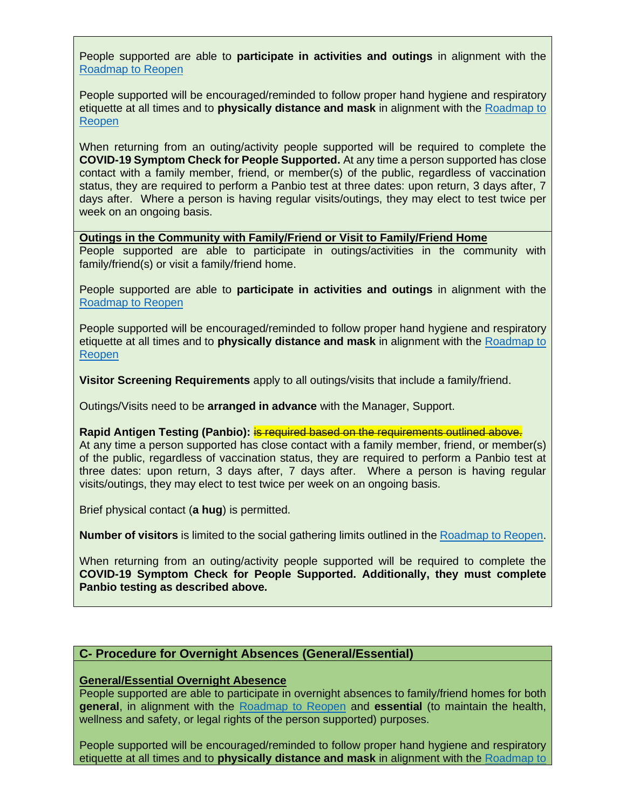People supported are able to **participate in activities and outings** in alignment with the [Roadmap to Reopen](https://www.ontario.ca/page/reopening-ontario)

People supported will be encouraged/reminded to follow proper hand hygiene and respiratory etiquette at all times and to **physically distance and mask** in alignment with the [Roadmap to](https://www.ontario.ca/page/reopening-ontario)  [Reopen](https://www.ontario.ca/page/reopening-ontario)

When returning from an outing/activity people supported will be required to complete the **COVID-19 Symptom Check for People Supported.** At any time a person supported has close contact with a family member, friend, or member(s) of the public, regardless of vaccination status, they are required to perform a Panbio test at three dates: upon return, 3 days after, 7 days after. Where a person is having regular visits/outings, they may elect to test twice per week on an ongoing basis.

**Outings in the Community with Family/Friend or Visit to Family/Friend Home**

People supported are able to participate in outings/activities in the community with family/friend(s) or visit a family/friend home.

People supported are able to **participate in activities and outings** in alignment with the [Roadmap to Reopen](https://www.ontario.ca/page/reopening-ontario)

People supported will be encouraged/reminded to follow proper hand hygiene and respiratory etiquette at all times and to **physically distance and mask** in alignment with the [Roadmap to](https://www.ontario.ca/page/reopening-ontario)  **[Reopen](https://www.ontario.ca/page/reopening-ontario)** 

**Visitor Screening Requirements** apply to all outings/visits that include a family/friend.

Outings/Visits need to be **arranged in advance** with the Manager, Support.

**Rapid Antigen Testing (Panbio):** is required based on the requirements outlined above.

At any time a person supported has close contact with a family member, friend, or member(s) of the public, regardless of vaccination status, they are required to perform a Panbio test at three dates: upon return, 3 days after, 7 days after. Where a person is having regular visits/outings, they may elect to test twice per week on an ongoing basis.

Brief physical contact (**a hug**) is permitted.

**Number of visitors** is limited to the social gathering limits outlined in the [Roadmap to Reopen.](https://www.ontario.ca/page/reopening-ontario)

When returning from an outing/activity people supported will be required to complete the **COVID-19 Symptom Check for People Supported. Additionally, they must complete Panbio testing as described above.**

## **C- Procedure for Overnight Absences (General/Essential)**

#### **General/Essential Overnight Abesence**

People supported are able to participate in overnight absences to family/friend homes for both **general**, in alignment with the [Roadmap to Reopen](https://www.ontario.ca/page/reopening-ontario) and **essential** (to maintain the health, wellness and safety, or legal rights of the person supported) purposes.

People supported will be encouraged/reminded to follow proper hand hygiene and respiratory etiquette at all times and to **physically distance and mask** in alignment with the [Roadmap to](https://www.ontario.ca/page/reopening-ontario)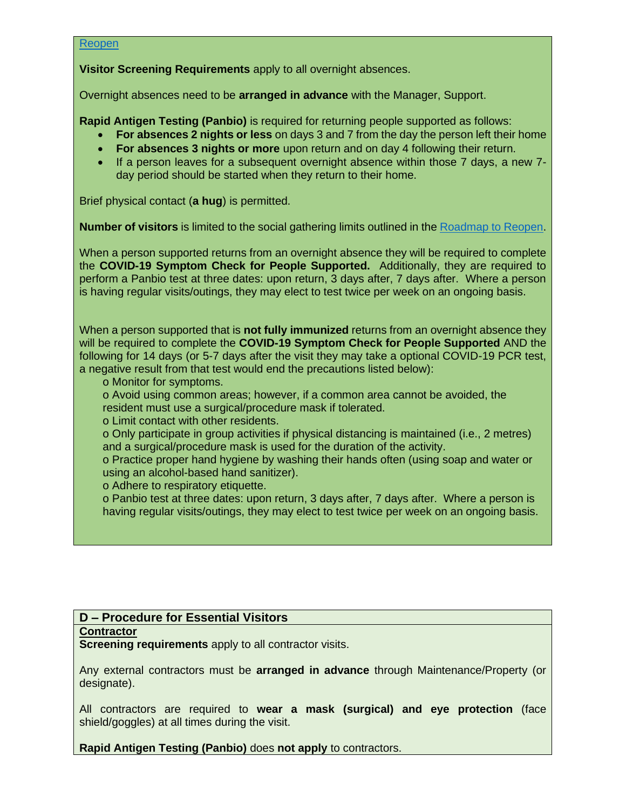#### [Reopen](https://www.ontario.ca/page/reopening-ontario)

**Visitor Screening Requirements** apply to all overnight absences.

Overnight absences need to be **arranged in advance** with the Manager, Support.

**Rapid Antigen Testing (Panbio)** is required for returning people supported as follows:

- **For absences 2 nights or less** on days 3 and 7 from the day the person left their home
- **For absences 3 nights or more** upon return and on day 4 following their return.
- If a person leaves for a subsequent overnight absence within those 7 days, a new 7 day period should be started when they return to their home.

Brief physical contact (**a hug**) is permitted.

**Number of visitors** is limited to the social gathering limits outlined in the [Roadmap to Reopen.](https://www.ontario.ca/page/reopening-ontario)

When a person supported returns from an overnight absence they will be required to complete the **COVID-19 Symptom Check for People Supported.** Additionally, they are required to perform a Panbio test at three dates: upon return, 3 days after, 7 days after. Where a person is having regular visits/outings, they may elect to test twice per week on an ongoing basis.

When a person supported that is **not fully immunized** returns from an overnight absence they will be required to complete the **COVID-19 Symptom Check for People Supported** AND the following for 14 days (or 5-7 days after the visit they may take a optional COVID-19 PCR test, a negative result from that test would end the precautions listed below):

o Monitor for symptoms.

o Avoid using common areas; however, if a common area cannot be avoided, the resident must use a surgical/procedure mask if tolerated.

o Limit contact with other residents.

o Only participate in group activities if physical distancing is maintained (i.e., 2 metres) and a surgical/procedure mask is used for the duration of the activity.

o Practice proper hand hygiene by washing their hands often (using soap and water or using an alcohol-based hand sanitizer).

o Adhere to respiratory etiquette.

o Panbio test at three dates: upon return, 3 days after, 7 days after. Where a person is having regular visits/outings, they may elect to test twice per week on an ongoing basis.

## **D – Procedure for Essential Visitors**

#### **Contractor**

**Screening requirements** apply to all contractor visits.

Any external contractors must be **arranged in advance** through Maintenance/Property (or designate).

All contractors are required to **wear a mask (surgical) and eye protection** (face shield/goggles) at all times during the visit.

**Rapid Antigen Testing (Panbio)** does **not apply** to contractors.